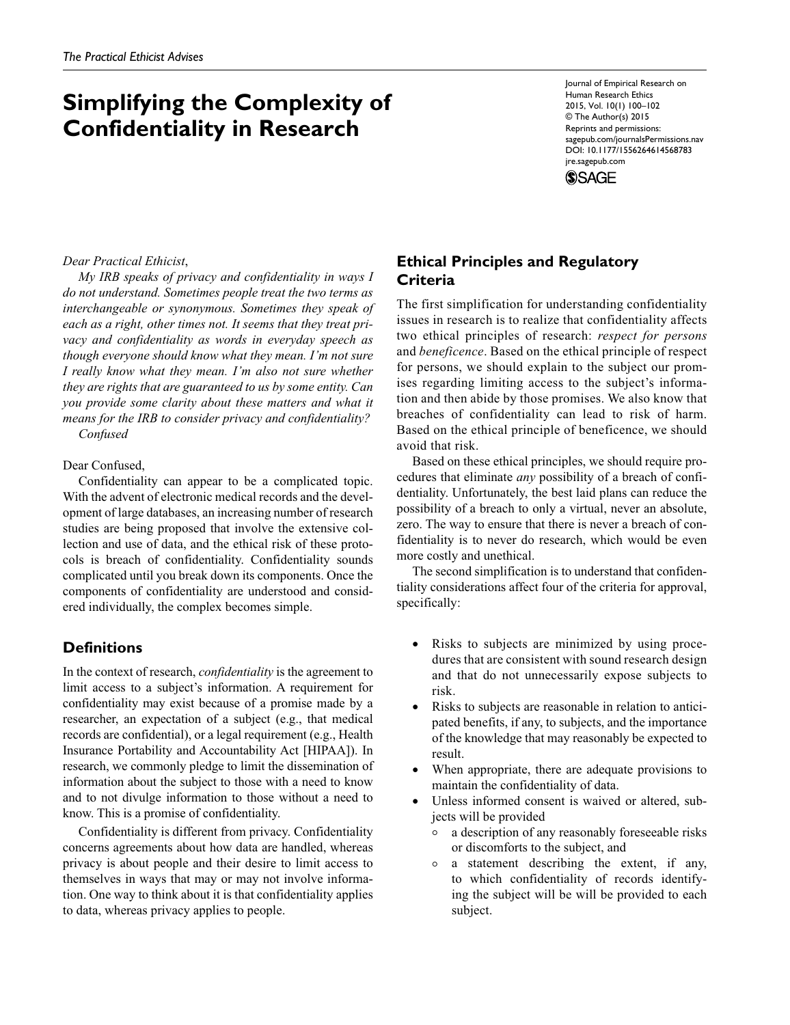# **Simplifying the Complexity of Confidentiality in Research**

Journal of Empirical Research on Human Research Ethics 2015, Vol. 10(1) 100–102 © The Author(s) 2015 Reprints and permissions: sagepub.com/journalsPermissions.nav DOI: 10.1177/1556264614568783 jre.sagepub.com

**SSAGE** 

#### *Dear Practical Ethicist*,

*My IRB speaks of privacy and confidentiality in ways I do not understand. Sometimes people treat the two terms as interchangeable or synonymous. Sometimes they speak of each as a right, other times not. It seems that they treat privacy and confidentiality as words in everyday speech as though everyone should know what they mean. I'm not sure I really know what they mean. I'm also not sure whether they are rights that are guaranteed to us by some entity. Can you provide some clarity about these matters and what it means for the IRB to consider privacy and confidentiality? Confused*

#### Dear Confused,

Confidentiality can appear to be a complicated topic. With the advent of electronic medical records and the development of large databases, an increasing number of research studies are being proposed that involve the extensive collection and use of data, and the ethical risk of these protocols is breach of confidentiality. Confidentiality sounds complicated until you break down its components. Once the components of confidentiality are understood and considered individually, the complex becomes simple.

### **Definitions**

In the context of research, *confidentiality* is the agreement to limit access to a subject's information. A requirement for confidentiality may exist because of a promise made by a researcher, an expectation of a subject (e.g., that medical records are confidential), or a legal requirement (e.g., Health Insurance Portability and Accountability Act [HIPAA]). In research, we commonly pledge to limit the dissemination of information about the subject to those with a need to know and to not divulge information to those without a need to know. This is a promise of confidentiality.

Confidentiality is different from privacy. Confidentiality concerns agreements about how data are handled, whereas privacy is about people and their desire to limit access to themselves in ways that may or may not involve information. One way to think about it is that confidentiality applies to data, whereas privacy applies to people.

## **Ethical Principles and Regulatory Criteria**

The first simplification for understanding confidentiality issues in research is to realize that confidentiality affects two ethical principles of research: *respect for persons* and *beneficence*. Based on the ethical principle of respect for persons, we should explain to the subject our promises regarding limiting access to the subject's information and then abide by those promises. We also know that breaches of confidentiality can lead to risk of harm. Based on the ethical principle of beneficence, we should avoid that risk.

Based on these ethical principles, we should require procedures that eliminate *any* possibility of a breach of confidentiality. Unfortunately, the best laid plans can reduce the possibility of a breach to only a virtual, never an absolute, zero. The way to ensure that there is never a breach of confidentiality is to never do research, which would be even more costly and unethical.

The second simplification is to understand that confidentiality considerations affect four of the criteria for approval, specifically:

- Risks to subjects are minimized by using procedures that are consistent with sound research design and that do not unnecessarily expose subjects to risk.
- Risks to subjects are reasonable in relation to anticipated benefits, if any, to subjects, and the importance of the knowledge that may reasonably be expected to result.
- When appropriate, there are adequate provisions to maintain the confidentiality of data.
- Unless informed consent is waived or altered, subjects will be provided
	- <sup>|</sup> a description of any reasonably foreseeable risks or discomforts to the subject, and
	- <sup>|</sup> a statement describing the extent, if any, to which confidentiality of records identifying the subject will be will be provided to each subject.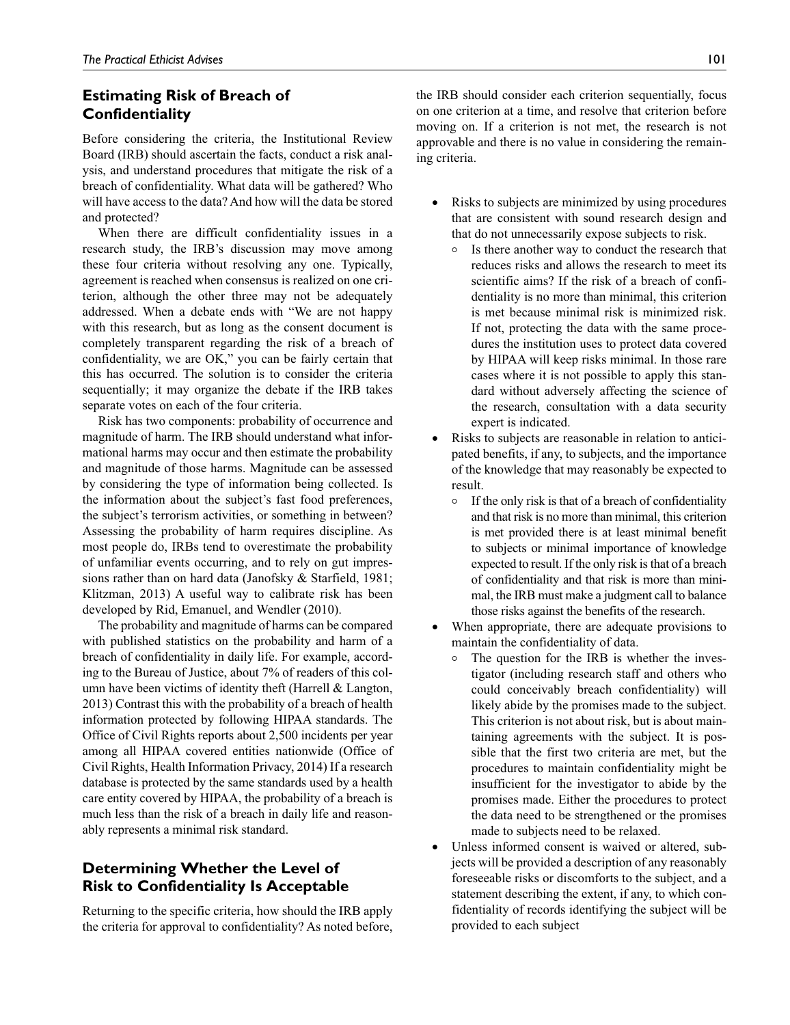### **Estimating Risk of Breach of Confidentiality**

Before considering the criteria, the Institutional Review Board (IRB) should ascertain the facts, conduct a risk analysis, and understand procedures that mitigate the risk of a breach of confidentiality. What data will be gathered? Who will have access to the data? And how will the data be stored and protected?

When there are difficult confidentiality issues in a research study, the IRB's discussion may move among these four criteria without resolving any one. Typically, agreement is reached when consensus is realized on one criterion, although the other three may not be adequately addressed. When a debate ends with "We are not happy with this research, but as long as the consent document is completely transparent regarding the risk of a breach of confidentiality, we are OK," you can be fairly certain that this has occurred. The solution is to consider the criteria sequentially; it may organize the debate if the IRB takes separate votes on each of the four criteria.

Risk has two components: probability of occurrence and magnitude of harm. The IRB should understand what informational harms may occur and then estimate the probability and magnitude of those harms. Magnitude can be assessed by considering the type of information being collected. Is the information about the subject's fast food preferences, the subject's terrorism activities, or something in between? Assessing the probability of harm requires discipline. As most people do, IRBs tend to overestimate the probability of unfamiliar events occurring, and to rely on gut impressions rather than on hard data (Janofsky & Starfield, 1981; Klitzman, 2013) A useful way to calibrate risk has been developed by Rid, Emanuel, and Wendler (2010).

The probability and magnitude of harms can be compared with published statistics on the probability and harm of a breach of confidentiality in daily life. For example, according to the Bureau of Justice, about 7% of readers of this column have been victims of identity theft (Harrell & Langton, 2013) Contrast this with the probability of a breach of health information protected by following HIPAA standards. The Office of Civil Rights reports about 2,500 incidents per year among all HIPAA covered entities nationwide (Office of Civil Rights, Health Information Privacy, 2014) If a research database is protected by the same standards used by a health care entity covered by HIPAA, the probability of a breach is much less than the risk of a breach in daily life and reasonably represents a minimal risk standard.

### **Determining Whether the Level of Risk to Confidentiality Is Acceptable**

Returning to the specific criteria, how should the IRB apply the criteria for approval to confidentiality? As noted before, the IRB should consider each criterion sequentially, focus on one criterion at a time, and resolve that criterion before moving on. If a criterion is not met, the research is not approvable and there is no value in considering the remaining criteria.

- Risks to subjects are minimized by using procedures that are consistent with sound research design and that do not unnecessarily expose subjects to risk.
	- <sup>|</sup> Is there another way to conduct the research that reduces risks and allows the research to meet its scientific aims? If the risk of a breach of confidentiality is no more than minimal, this criterion is met because minimal risk is minimized risk. If not, protecting the data with the same procedures the institution uses to protect data covered by HIPAA will keep risks minimal. In those rare cases where it is not possible to apply this standard without adversely affecting the science of the research, consultation with a data security expert is indicated.
- Risks to subjects are reasonable in relation to anticipated benefits, if any, to subjects, and the importance of the knowledge that may reasonably be expected to result.
	- $\circ$  If the only risk is that of a breach of confidentiality and that risk is no more than minimal, this criterion is met provided there is at least minimal benefit to subjects or minimal importance of knowledge expected to result. If the only risk is that of a breach of confidentiality and that risk is more than minimal, the IRB must make a judgment call to balance those risks against the benefits of the research.
- When appropriate, there are adequate provisions to maintain the confidentiality of data.
	- $\circ$  The question for the IRB is whether the investigator (including research staff and others who could conceivably breach confidentiality) will likely abide by the promises made to the subject. This criterion is not about risk, but is about maintaining agreements with the subject. It is possible that the first two criteria are met, but the procedures to maintain confidentiality might be insufficient for the investigator to abide by the promises made. Either the procedures to protect the data need to be strengthened or the promises made to subjects need to be relaxed.
- Unless informed consent is waived or altered, subjects will be provided a description of any reasonably foreseeable risks or discomforts to the subject, and a statement describing the extent, if any, to which confidentiality of records identifying the subject will be provided to each subject